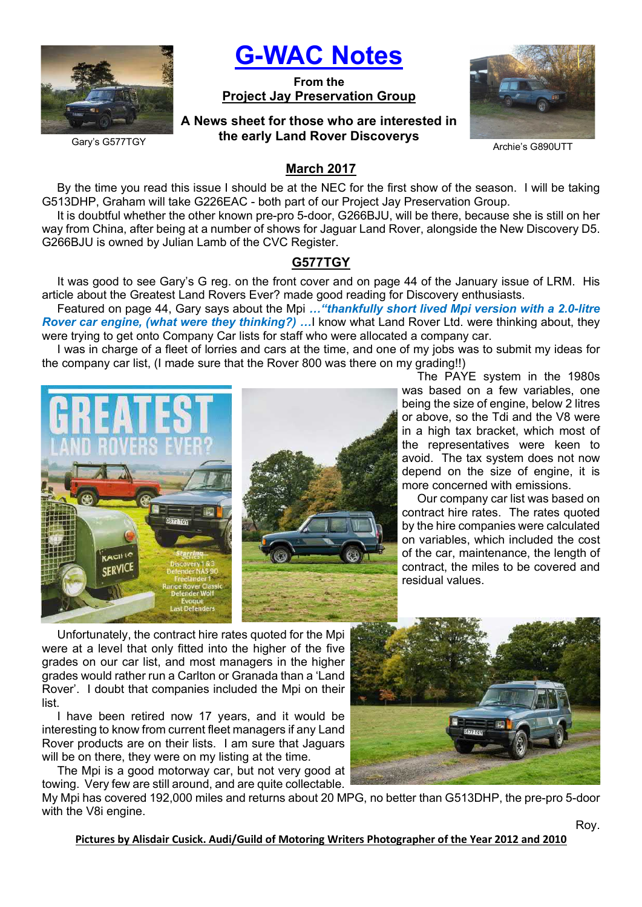

# G-WAC Notes

From the Project Jay Preservation Group

# A News sheet for those who are interested in the early Land Rover Discoverys



Archie's G890UTT

Gary's G577TGY

# March 2017

By the time you read this issue I should be at the NEC for the first show of the season. I will be taking G513DHP, Graham will take G226EAC - both part of our Project Jay Preservation Group.

It is doubtful whether the other known pre-pro 5-door, G266BJU, will be there, because she is still on her way from China, after being at a number of shows for Jaguar Land Rover, alongside the New Discovery D5. G266BJU is owned by Julian Lamb of the CVC Register.

# G577TGY

It was good to see Gary's G reg. on the front cover and on page 44 of the January issue of LRM. His article about the Greatest Land Rovers Ever? made good reading for Discovery enthusiasts.

Featured on page 44, Gary says about the Mpi ... "thankfully short lived Mpi version with a 2.0-litre Rover car engine, (what were they thinking?) ... I know what Land Rover Ltd. were thinking about, they were trying to get onto Company Car lists for staff who were allocated a company car.

I was in charge of a fleet of lorries and cars at the time, and one of my jobs was to submit my ideas for the company car list, (I made sure that the Rover 800 was there on my grading!!)





The PAYE system in the 1980s was based on a few variables, one being the size of engine, below 2 litres or above, so the Tdi and the V8 were in a high tax bracket, which most of the representatives were keen to avoid. The tax system does not now depend on the size of engine, it is more concerned with emissions.

Our company car list was based on contract hire rates. The rates quoted by the hire companies were calculated on variables, which included the cost of the car, maintenance, the length of contract, the miles to be covered and residual values.

Unfortunately, the contract hire rates quoted for the Mpi were at a level that only fitted into the higher of the five grades on our car list, and most managers in the higher grades would rather run a Carlton or Granada than a 'Land Rover'. I doubt that companies included the Mpi on their list.

I have been retired now 17 years, and it would be interesting to know from current fleet managers if any Land Rover products are on their lists. I am sure that Jaguars will be on there, they were on my listing at the time.

The Mpi is a good motorway car, but not very good at towing. Very few are still around, and are quite collectable.



My Mpi has covered 192,000 miles and returns about 20 MPG, no better than G513DHP, the pre-pro 5-door with the V8i engine.

Pictures by Alisdair Cusick. Audi/Guild of Motoring Writers Photographer of the Year 2012 and 2010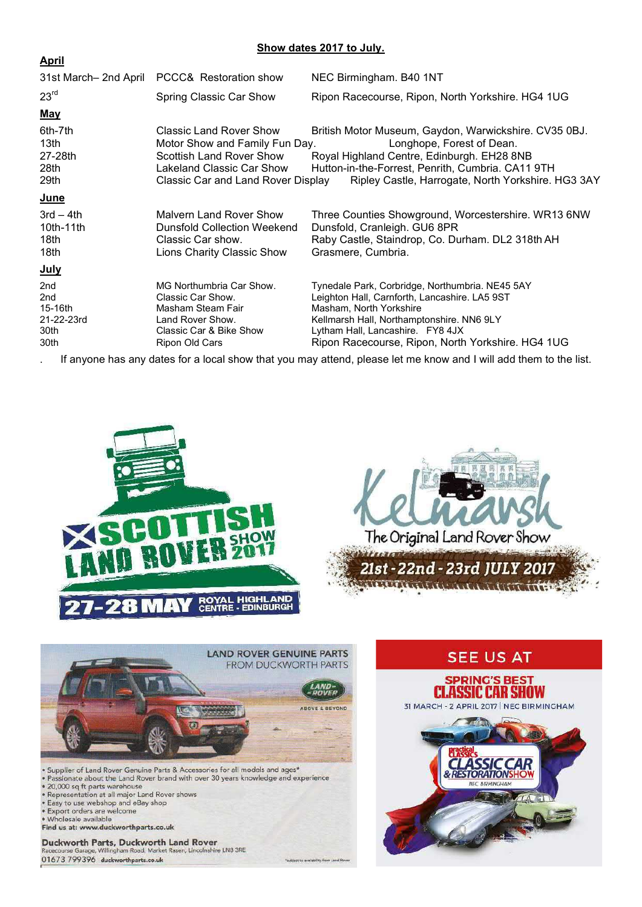## Show dates 2017 to July.

| <u>April</u>                                           |                                                                                                                                                                 |                                                                                                                                                                                                                                                                   |
|--------------------------------------------------------|-----------------------------------------------------------------------------------------------------------------------------------------------------------------|-------------------------------------------------------------------------------------------------------------------------------------------------------------------------------------------------------------------------------------------------------------------|
| 31st March- 2nd April                                  | PCCC& Restoration show                                                                                                                                          | NEC Birmingham. B40 1NT                                                                                                                                                                                                                                           |
| 23 <sup>rd</sup>                                       | Spring Classic Car Show                                                                                                                                         | Ripon Racecourse, Ripon, North Yorkshire. HG4 1UG                                                                                                                                                                                                                 |
| <u>May</u>                                             |                                                                                                                                                                 |                                                                                                                                                                                                                                                                   |
| 6th-7th<br>13 <sub>th</sub><br>27-28th<br>28th<br>29th | Classic Land Rover Show<br>Motor Show and Family Fun Day.<br><b>Scottish Land Rover Show</b><br>Lakeland Classic Car Show<br>Classic Car and Land Rover Display | British Motor Museum, Gaydon, Warwickshire. CV35 0BJ.<br>Longhope, Forest of Dean.<br>Royal Highland Centre, Edinburgh. EH28 8NB<br>Hutton-in-the-Forrest, Penrith, Cumbria. CA11 9TH<br>Ripley Castle, Harrogate, North Yorkshire. HG3 3AY                       |
| <b>June</b>                                            |                                                                                                                                                                 |                                                                                                                                                                                                                                                                   |
| $3rd - 4th$<br>$10th-11th$<br>18th<br>18th             | Malvern Land Rover Show<br>Dunsfold Collection Weekend<br>Classic Car show.<br>Lions Charity Classic Show                                                       | Three Counties Showground, Worcestershire. WR13 6NW<br>Dunsfold, Cranleigh. GU6 8PR<br>Raby Castle, Staindrop, Co. Durham. DL2 318th AH<br>Grasmere, Cumbria.                                                                                                     |
| <u>July</u>                                            |                                                                                                                                                                 |                                                                                                                                                                                                                                                                   |
| 2nd<br>2nd<br>15-16th<br>21-22-23rd<br>30th<br>30th    | MG Northumbria Car Show.<br>Classic Car Show.<br>Masham Steam Fair<br>Land Rover Show.<br>Classic Car & Bike Show<br>Ripon Old Cars                             | Tynedale Park, Corbridge, Northumbria. NE45 5AY<br>Leighton Hall, Carnforth, Lancashire. LA5 9ST<br>Masham, North Yorkshire<br>Kellmarsh Hall, Northamptonshire. NN6 9LY<br>Lytham Hall, Lancashire. FY8 4JX<br>Ripon Racecourse, Ripon, North Yorkshire. HG4 1UG |

If anyone has any dates for a local show that you may attend, please let me know and I will add them to the list.



ty from Land Re



- 
- 
- Passionate about the Land Rover brand with o<br>
20,000 sq ft parts warehouse<br>
Representation at all major Land Rover shows<br>
Easy to use webshop and eBay shop<br>
Export orders are welcome
- 
- 

 $\sim$   $\sim$ 

- · Wholesale available Find us at: www.duckworthparts.co.uk
- 

Duckworth Parts, Duckworth Land Rover<br>Racecourse Garage, Willingham Road, Market Rasen, Lincolnshire LN8 3RE 01673 799396 duckworthparts.co.uk

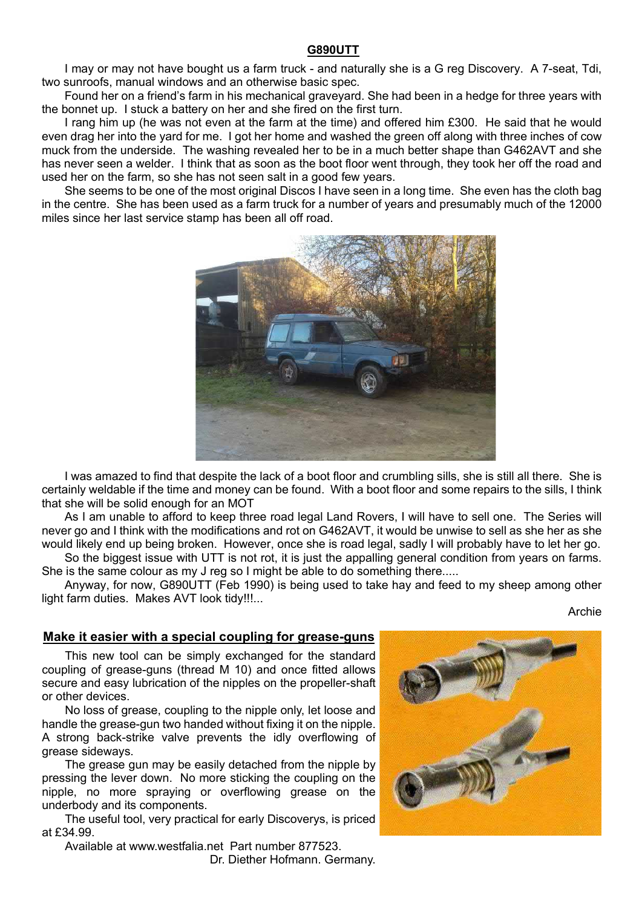## G890UTT

I may or may not have bought us a farm truck - and naturally she is a G reg Discovery. A 7-seat, Tdi, two sunroofs, manual windows and an otherwise basic spec.

Found her on a friend's farm in his mechanical graveyard. She had been in a hedge for three years with the bonnet up. I stuck a battery on her and she fired on the first turn.

I rang him up (he was not even at the farm at the time) and offered him £300. He said that he would even drag her into the yard for me. I got her home and washed the green off along with three inches of cow muck from the underside. The washing revealed her to be in a much better shape than G462AVT and she has never seen a welder. I think that as soon as the boot floor went through, they took her off the road and used her on the farm, so she has not seen salt in a good few years.

She seems to be one of the most original Discos I have seen in a long time. She even has the cloth bag in the centre. She has been used as a farm truck for a number of years and presumably much of the 12000 miles since her last service stamp has been all off road.



I was amazed to find that despite the lack of a boot floor and crumbling sills, she is still all there. She is certainly weldable if the time and money can be found. With a boot floor and some repairs to the sills, I think that she will be solid enough for an MOT

As I am unable to afford to keep three road legal Land Rovers, I will have to sell one. The Series will never go and I think with the modifications and rot on G462AVT, it would be unwise to sell as she her as she would likely end up being broken. However, once she is road legal, sadly I will probably have to let her go.

So the biggest issue with UTT is not rot, it is just the appalling general condition from years on farms. She is the same colour as my J reg so I might be able to do something there.....

Anyway, for now, G890UTT (Feb 1990) is being used to take hay and feed to my sheep among other light farm duties. Makes AVT look tidy!!!...

Archie

## Make it easier with a special coupling for grease-guns

This new tool can be simply exchanged for the standard coupling of grease-guns (thread M 10) and once fitted allows secure and easy lubrication of the nipples on the propeller-shaft or other devices.

No loss of grease, coupling to the nipple only, let loose and handle the grease-gun two handed without fixing it on the nipple. A strong back-strike valve prevents the idly overflowing of grease sideways.

The grease gun may be easily detached from the nipple by pressing the lever down. No more sticking the coupling on the nipple, no more spraying or overflowing grease on the underbody and its components.

The useful tool, very practical for early Discoverys, is priced at £34.99.

Available at www.westfalia.net Part number 877523.

Dr. Diether Hofmann. Germany.